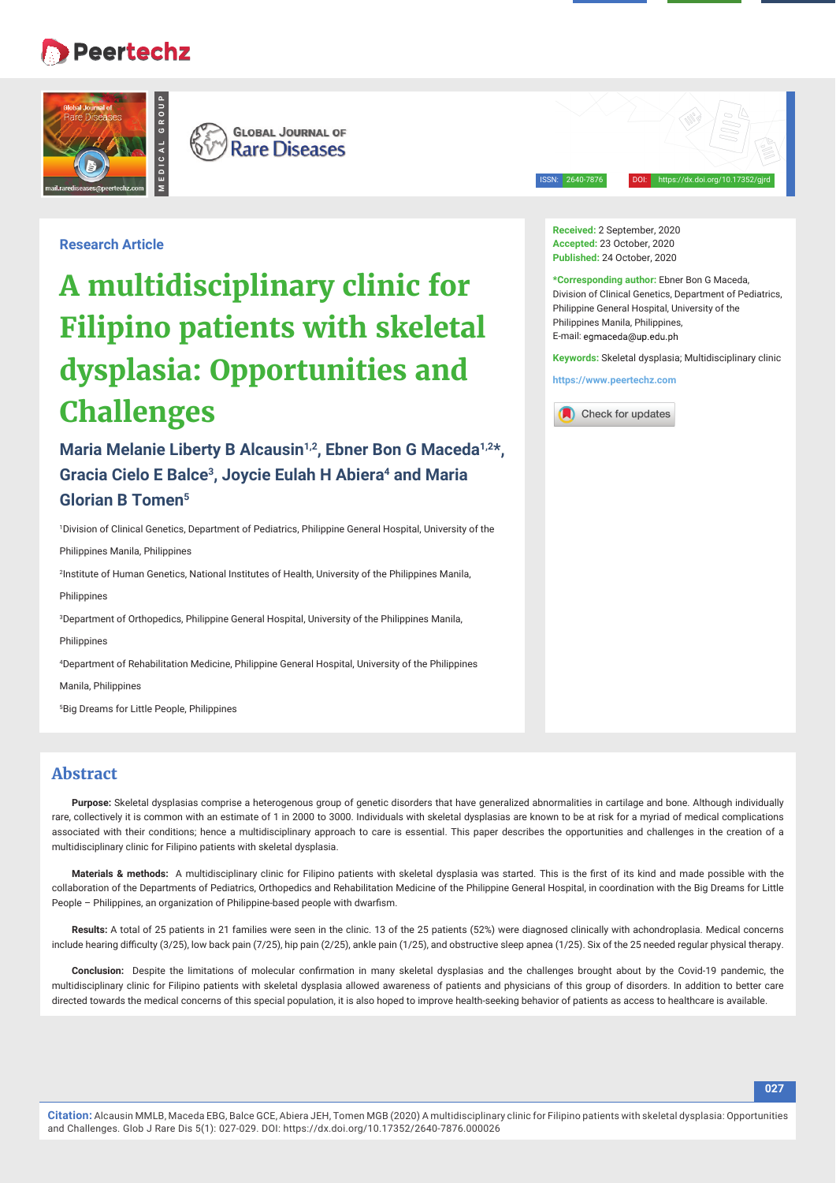# **Peertechz**





ISSN: 2640-7876 DOI: https://dx.doi.org/10.17352/gjrd

**Research Article**

# **A multidisciplinary clinic for Filipino patients with skeletal dysplasia: Opportunities and Challenges**

Maria Melanie Liberty B Alcausin<sup>1,2</sup>, Ebner Bon G Maceda<sup>1,2\*</sup>, Gracia Cielo E Balce<sup>3</sup>, Joycie Eulah H Abiera<sup>4</sup> and Maria **Glorian B Tomen5**

1 Division of Clinical Genetics, Department of Pediatrics, Philippine General Hospital, University of the Philippines Manila, Philippines

2 Institute of Human Genetics, National Institutes of Health, University of the Philippines Manila,

**Philippines** 

3 Department of Orthopedics, Philippine General Hospital, University of the Philippines Manila,

**Philippines** 

4 Department of Rehabilitation Medicine, Philippine General Hospital, University of the Philippines

Manila, Philippines

5 Big Dreams for Little People, Philippines

## **Abstract**

**Purpose:** Skeletal dysplasias comprise a heterogenous group of genetic disorders that have generalized abnormalities in cartilage and bone. Although individually rare, collectively it is common with an estimate of 1 in 2000 to 3000. Individuals with skeletal dysplasias are known to be at risk for a myriad of medical complications associated with their conditions; hence a multidisciplinary approach to care is essential. This paper describes the opportunities and challenges in the creation of a multidisciplinary clinic for Filipino patients with skeletal dysplasia.

Materials & methods: A multidisciplinary clinic for Filipino patients with skeletal dysplasia was started. This is the first of its kind and made possible with the collaboration of the Departments of Pediatrics, Orthopedics and Rehabilitation Medicine of the Philippine General Hospital, in coordination with the Big Dreams for Little People - Philippines, an organization of Philippine-based people with dwarfism.

**Results:** A total of 25 patients in 21 families were seen in the clinic. 13 of the 25 patients (52%) were diagnosed clinically with achondroplasia. Medical concerns include hearing difficulty (3/25), low back pain (7/25), hip pain (2/25), ankle pain (1/25), and obstructive sleep apnea (1/25). Six of the 25 needed regular physical therapy.

Conclusion: Despite the limitations of molecular confirmation in many skeletal dysplasias and the challenges brought about by the Covid-19 pandemic, the multidisciplinary clinic for Filipino patients with skeletal dysplasia allowed awareness of patients and physicians of this group of disorders. In addition to better care directed towards the medical concerns of this special population, it is also hoped to improve health-seeking behavior of patients as access to healthcare is available.

**Received:** 2 September, 2020 **Accepted:** 23 October, 2020 **Published:** 24 October, 2020

**\*Corresponding author:** Ebner Bon G Maceda,

Division of Clinical Genetics, Department of Pediatrics, Philippine General Hospital, University of the Philippines Manila, Philippines, E-mail: egmaceda@up.edu.ph

**Keywords:** Skeletal dysplasia; Multidisciplinary clinic

**https://www.peertechz.com**

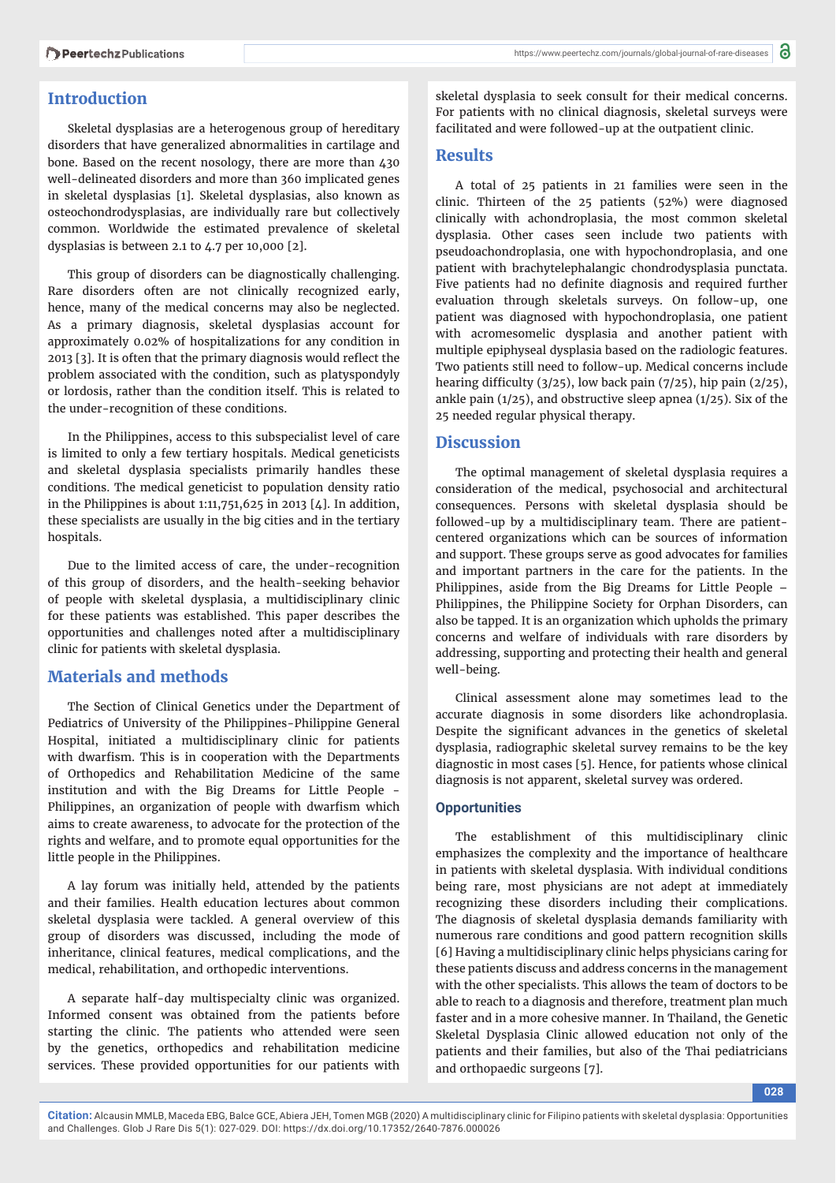### **Introduction**

Skeletal dysplasias are a heterogenous group of hereditary disorders that have generalized abnormalities in cartilage and bone. Based on the recent nosology, there are more than 430 well-delineated disorders and more than 360 implicated genes in skeletal dysplasias [1]. Skeletal dysplasias, also known as osteochondrodysplasias, are individually rare but collectively common. Worldwide the estimated prevalence of skeletal dysplasias is between 2.1 to 4.7 per 10,000 [2].

This group of disorders can be diagnostically challenging. Rare disorders often are not clinically recognized early, hence, many of the medical concerns may also be neglected. As a primary diagnosis, skeletal dysplasias account for approximately 0.02% of hospitalizations for any condition in 2013 [3]. It is often that the primary diagnosis would reflect the problem associated with the condition, such as platyspondyly or lordosis, rather than the condition itself. This is related to the under-recognition of these conditions.

In the Philippines, access to this subspecialist level of care is limited to only a few tertiary hospitals. Medical geneticists and skeletal dysplasia specialists primarily handles these conditions. The medical geneticist to population density ratio in the Philippines is about  $1:11,751,625$  in 2013 [4]. In addition, these specialists are usually in the big cities and in the tertiary hospitals.

Due to the limited access of care, the under-recognition of this group of disorders, and the health-seeking behavior of people with skeletal dysplasia, a multidisciplinary clinic for these patients was established. This paper describes the opportunities and challenges noted after a multidisciplinary clinic for patients with skeletal dysplasia.

#### **Materials and methods**

The Section of Clinical Genetics under the Department of Pediatrics of University of the Philippines-Philippine General Hospital, initiated a multidisciplinary clinic for patients with dwarfism. This is in cooperation with the Departments of Orthopedics and Rehabilitation Medicine of the same institution and with the Big Dreams for Little People - Philippines, an organization of people with dwarfism which aims to create awareness, to advocate for the protection of the rights and welfare, and to promote equal opportunities for the little people in the Philippines.

A lay forum was initially held, attended by the patients and their families. Health education lectures about common skeletal dysplasia were tackled. A general overview of this group of disorders was discussed, including the mode of inheritance, clinical features, medical complications, and the medical, rehabilitation, and orthopedic interventions.

A separate half-day multispecialty clinic was organized. Informed consent was obtained from the patients before starting the clinic. The patients who attended were seen by the genetics, orthopedics and rehabilitation medicine services. These provided opportunities for our patients with

skeletal dysplasia to seek consult for their medical concerns. For patients with no clinical diagnosis, skeletal surveys were facilitated and were followed-up at the outpatient clinic.

#### **Results**

A total of 25 patients in 21 families were seen in the clinic. Thirteen of the 25 patients (52%) were diagnosed clinically with achondroplasia, the most common skeletal dysplasia. Other cases seen include two patients with pseudoachondroplasia, one with hypochondroplasia, and one patient with brachytelephalangic chondrodysplasia punctata. Five patients had no definite diagnosis and required further evaluation through skeletals surveys. On follow-up, one patient was diagnosed with hypochondroplasia, one patient with acromesomelic dysplasia and another patient with multiple epiphyseal dysplasia based on the radiologic features. Two patients still need to follow-up. Medical concerns include hearing difficulty  $(3/25)$ , low back pain  $(7/25)$ , hip pain  $(2/25)$ , ankle pain (1/25), and obstructive sleep apnea (1/25). Six of the 25 needed regular physical therapy.

#### **Discussion**

The optimal management of skeletal dysplasia requires a consideration of the medical, psychosocial and architectural consequences. Persons with skeletal dysplasia should be followed-up by a multidisciplinary team. There are patientcentered organizations which can be sources of information and support. These groups serve as good advocates for families and important partners in the care for the patients. In the Philippines, aside from the Big Dreams for Little People – Philippines, the Philippine Society for Orphan Disorders, can also be tapped. It is an organization which upholds the primary concerns and welfare of individuals with rare disorders by addressing, supporting and protecting their health and general well-being.

Clinical assessment alone may sometimes lead to the accurate diagnosis in some disorders like achondroplasia. Despite the significant advances in the genetics of skeletal dysplasia, radiographic skeletal survey remains to be the key diagnostic in most cases [5]. Hence, for patients whose clinical diagnosis is not apparent, skeletal survey was ordered.

#### **Opportunities**

The establishment of this multidisciplinary clinic emphasizes the complexity and the importance of healthcare in patients with skeletal dysplasia. With individual conditions being rare, most physicians are not adept at immediately recognizing these disorders including their complications. The diagnosis of skeletal dysplasia demands familiarity with numerous rare conditions and good pattern recognition skills [6] Having a multidisciplinary clinic helps physicians caring for these patients discuss and address concerns in the management with the other specialists. This allows the team of doctors to be able to reach to a diagnosis and therefore, treatment plan much faster and in a more cohesive manner. In Thailand, the Genetic Skeletal Dysplasia Clinic allowed education not only of the patients and their families, but also of the Thai pediatricians and orthopaedic surgeons [7].

**Citation:** Alcausin MMLB, Maceda EBG, Balce GCE, Abiera JEH, Tomen MGB (2020) A multidisciplinary clinic for Filipino patients with skeletal dysplasia: Opportunities and Challenges. Glob J Rare Dis 5(1): 027-029. DOI: https://dx.doi.org/10.17352/2640-7876.000026